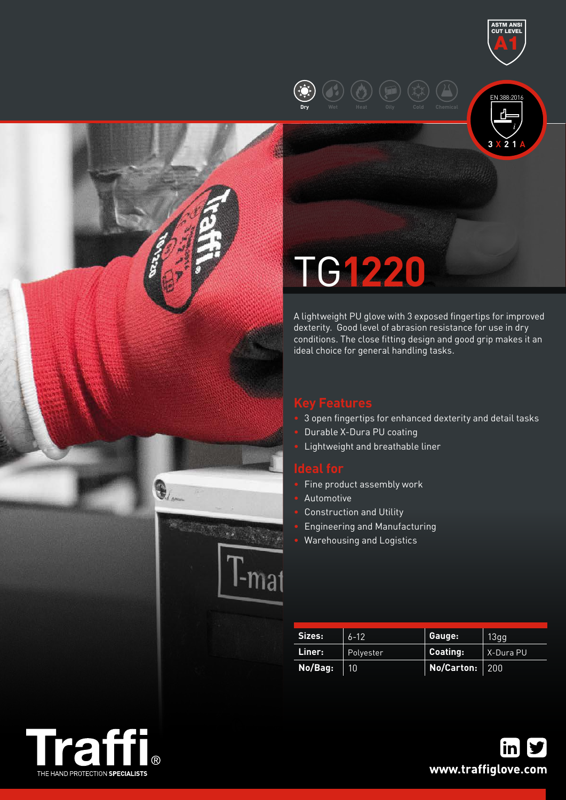

# TG**1220**

**Dry Wet Heat Oily Cold Chemical**

A lightweight PU glove with 3 exposed fingertips for improved dexterity. Good level of abrasion resistance for use in dry conditions. The close fitting design and good grip makes it an ideal choice for general handling tasks.

**3 X 2 1 A**

EN 388:2016

ASTM ANSI CUT LEVEL A1

- 3 open fingertips for enhanced dexterity and detail tasks
- Durable X-Dura PU coating
- Lightweight and breathable liner

- Fine product assembly work
- Automotive
- Construction and Utility
- Engineering and Manufacturing
- Warehousing and Logistics

| Sizes:  | $6 - 12$  | Gauge:            | 13qq      |  |
|---------|-----------|-------------------|-----------|--|
| Liner:  | Polyester | Coating:          | X-Dura PU |  |
| No/Bag: | 101       | No/Carton: $ 200$ |           |  |